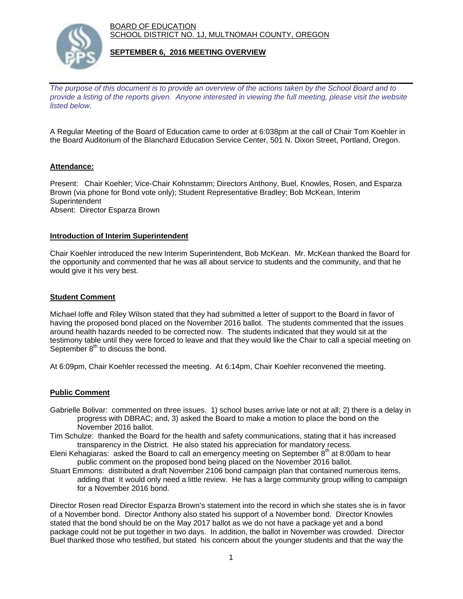BOARD OF EDUCATION SCHOOL DISTRICT NO. 1J, MULTNOMAH COUNTY, OREGON



### **SEPTEMBER 6, 2016 MEETING OVERVIEW**

*The purpose of this document is to provide an overview of the actions taken by the School Board and to provide a listing of the reports given. Anyone interested in viewing the full meeting, please visit the website listed below.*

A Regular Meeting of the Board of Education came to order at 6:038pm at the call of Chair Tom Koehler in the Board Auditorium of the Blanchard Education Service Center, 501 N. Dixon Street, Portland, Oregon.

# **Attendance:**

Present: Chair Koehler; Vice-Chair Kohnstamm; Directors Anthony, Buel, Knowles, Rosen, and Esparza Brown (via phone for Bond vote only); Student Representative Bradley; Bob McKean, Interim **Superintendent** Absent: Director Esparza Brown

#### **Introduction of Interim Superintendent**

Chair Koehler introduced the new Interim Superintendent, Bob McKean. Mr. McKean thanked the Board for the opportunity and commented that he was all about service to students and the community, and that he would give it his very best.

### **Student Comment**

Michael Ioffe and Riley Wilson stated that they had submitted a letter of support to the Board in favor of having the proposed bond placed on the November 2016 ballot. The students commented that the issues around health hazards needed to be corrected now. The students indicated that they would sit at the testimony table until they were forced to leave and that they would like the Chair to call a special meeting on September  $8<sup>th</sup>$  to discuss the bond.

At 6:09pm, Chair Koehler recessed the meeting. At 6:14pm, Chair Koehler reconvened the meeting.

#### **Public Comment**

- Gabrielle Bolivar: commented on three issues. 1) school buses arrive late or not at all; 2) there is a delay in progress with DBRAC; and, 3) asked the Board to make a motion to place the bond on the November 2016 ballot.
- Tim Schulze: thanked the Board for the health and safety communications, stating that it has increased transparency in the District. He also stated his appreciation for mandatory recess.
- Eleni Kehagiaras: asked the Board to call an emergency meeting on September  $8<sup>th</sup>$  at 8:00am to hear public comment on the proposed bond being placed on the November 2016 ballot.
- Stuart Emmons: distributed a draft November 2106 bond campaign plan that contained numerous items, adding that It would only need a little review. He has a large community group willing to campaign for a November 2016 bond.

Director Rosen read Director Esparza Brown's statement into the record in which she states she is in favor of a November bond. Director Anthony also stated his support of a November bond. Director Knowles stated that the bond should be on the May 2017 ballot as we do not have a package yet and a bond package could not be put together in two days. In addition, the ballot in November was crowded. Director Buel thanked those who testified, but stated his concern about the younger students and that the way the